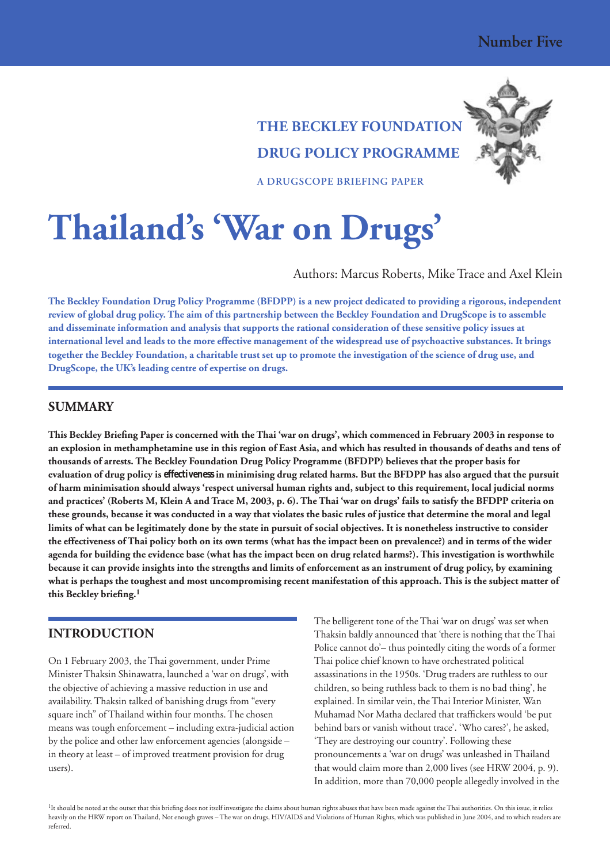

# **THE BECKLEY FOUNDATION DRUG POLICY PROGRAMME**

**A DRUGSCOPE BRIEFING PAPER** 

**Thailand's 'War on Drugs'**

Authors: Marcus Roberts, Mike Trace and Axel Klein

**The Beckley Foundation Drug Policy Programme (BFDPP) is a new project dedicated to providing a rigorous, independent review of global drug policy. The aim of this partnership between the Beckley Foundation and DrugScope is to assemble and disseminate information and analysis that supports the rational consideration of these sensitive policy issues at international level and leads to the more effective management of the widespread use of psychoactive substances. It brings together the Beckley Foundation, a charitable trust set up to promote the investigation of the science of drug use, and DrugScope, the UK's leading centre of expertise on drugs.**

## **SUMMARY**

**This Beckley Briefing Paper is concerned with the Thai 'war on drugs', which commenced in February 2003 in response to an explosion in methamphetamine use in this region of East Asia, and which has resulted in thousands of deaths and tens of thousands of arrests. The Beckley Foundation Drug Policy Programme (BFDPP) believes that the proper basis for evaluation of drug policy is** *effectiveness* **in minimising drug related harms. But the BFDPP has also argued that the pursuit of harm minimisation should always 'respect universal human rights and, subject to this requirement, local judicial norms and practices' (Roberts M, Klein A and Trace M, 2003, p. 6). The Thai 'war on drugs' fails to satisfy the BFDPP criteria on these grounds, because it was conducted in a way that violates the basic rules of justice that determine the moral and legal limits of what can be legitimately done by the state in pursuit of social objectives. It is nonetheless instructive to consider the effectiveness of Thai policy both on its own terms (what has the impact been on prevalence?) and in terms of the wider agenda for building the evidence base (what has the impact been on drug related harms?). This investigation is worthwhile because it can provide insights into the strengths and limits of enforcement as an instrument of drug policy, by examining what is perhaps the toughest and most uncompromising recent manifestation of this approach. This is the subject matter of this Beckley briefing.1**

# **INTRODUCTION**

On 1 February 2003, the Thai government, under Prime Minister Thaksin Shinawatra, launched a 'war on drugs', with the objective of achieving a massive reduction in use and availability. Thaksin talked of banishing drugs from "every square inch" of Thailand within four months. The chosen means was tough enforcement – including extra-judicial action by the police and other law enforcement agencies (alongside – in theory at least – of improved treatment provision for drug users).

The belligerent tone of the Thai 'war on drugs' was set when Thaksin baldly announced that 'there is nothing that the Thai Police cannot do'– thus pointedly citing the words of a former Thai police chief known to have orchestrated political assassinations in the 1950s. 'Drug traders are ruthless to our children, so being ruthless back to them is no bad thing', he explained. In similar vein, the Thai Interior Minister, Wan Muhamad Nor Matha declared that traffickers would 'be put behind bars or vanish without trace'. 'Who cares?', he asked, 'They are destroying our country'. Following these pronouncements a 'war on drugs' was unleashed in Thailand that would claim more than 2,000 lives (see HRW 2004, p. 9). In addition, more than 70,000 people allegedly involved in the

<sup>1</sup>It should be noted at the outset that this briefing does not itself investigate the claims about human rights abuses that have been made against the Thai authorities. On this issue, it relies heavily on the HRW report on Thailand, Not enough graves – The war on drugs, HIV/AIDS and Violations of Human Rights, which was published in June 2004, and to which readers are referred.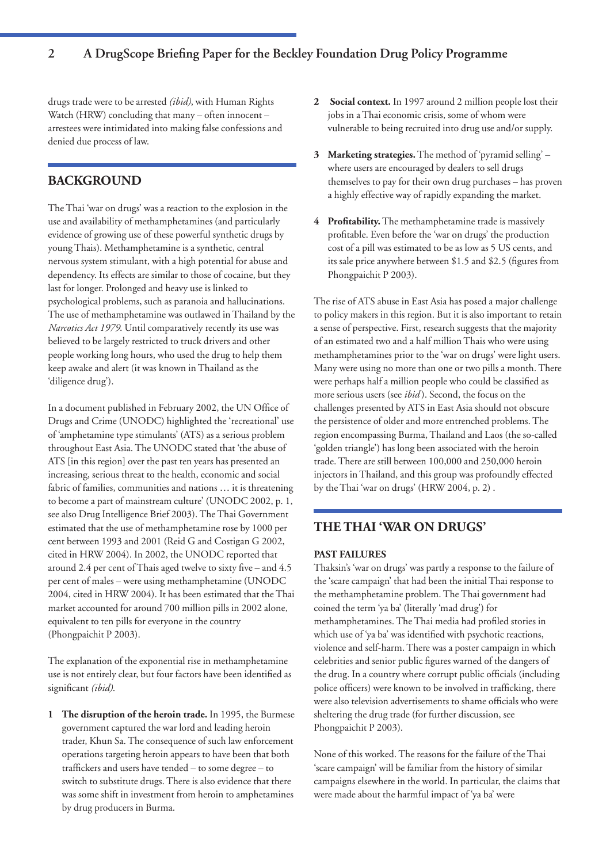# **2 A DrugScope Briefing Paper for the Beckley Foundation Drug Policy Programme**

drugs trade were to be arrested *(ibid)*, with Human Rights Watch (HRW) concluding that many – often innocent – arrestees were intimidated into making false confessions and denied due process of law.

# **BACKGROUND**

The Thai 'war on drugs' was a reaction to the explosion in the use and availability of methamphetamines (and particularly evidence of growing use of these powerful synthetic drugs by young Thais). Methamphetamine is a synthetic, central nervous system stimulant, with a high potential for abuse and dependency. Its effects are similar to those of cocaine, but they last for longer. Prolonged and heavy use is linked to psychological problems, such as paranoia and hallucinations. The use of methamphetamine was outlawed in Thailand by the *Narcotics Act 1979*. Until comparatively recently its use was believed to be largely restricted to truck drivers and other people working long hours, who used the drug to help them keep awake and alert (it was known in Thailand as the 'diligence drug').

In a document published in February 2002, the UN Office of Drugs and Crime (UNODC) highlighted the 'recreational' use of 'amphetamine type stimulants' (ATS) as a serious problem throughout East Asia. The UNODC stated that 'the abuse of ATS [in this region] over the past ten years has presented an increasing, serious threat to the health, economic and social fabric of families, communities and nations … it is threatening to become a part of mainstream culture' (UNODC 2002, p. 1, see also Drug Intelligence Brief 2003). The Thai Government estimated that the use of methamphetamine rose by 1000 per cent between 1993 and 2001 (Reid G and Costigan G 2002, cited in HRW 2004). In 2002, the UNODC reported that around 2.4 per cent of Thais aged twelve to sixty five – and 4.5 per cent of males – were using methamphetamine (UNODC 2004, cited in HRW 2004). It has been estimated that the Thai market accounted for around 700 million pills in 2002 alone, equivalent to ten pills for everyone in the country (Phongpaichit P 2003).

The explanation of the exponential rise in methamphetamine use is not entirely clear, but four factors have been identified as significant *(ibid)*.

**1 The disruption of the heroin trade.** In 1995, the Burmese government captured the war lord and leading heroin trader, Khun Sa. The consequence of such law enforcement operations targeting heroin appears to have been that both traffickers and users have tended – to some degree – to switch to substitute drugs. There is also evidence that there was some shift in investment from heroin to amphetamines by drug producers in Burma.

- **2 Social context.** In 1997 around 2 million people lost their jobs in a Thai economic crisis, some of whom were vulnerable to being recruited into drug use and/or supply.
- **3 Marketing strategies.** The method of 'pyramid selling' where users are encouraged by dealers to sell drugs themselves to pay for their own drug purchases – has proven a highly effective way of rapidly expanding the market.
- **4 Profitability.** The methamphetamine trade is massively profitable. Even before the 'war on drugs' the production cost of a pill was estimated to be as low as 5 US cents, and its sale price anywhere between \$1.5 and \$2.5 (figures from Phongpaichit P 2003).

The rise of ATS abuse in East Asia has posed a major challenge to policy makers in this region. But it is also important to retain a sense of perspective. First, research suggests that the majority of an estimated two and a half million Thais who were using methamphetamines prior to the 'war on drugs' were light users. Many were using no more than one or two pills a month. There were perhaps half a million people who could be classified as more serious users (see *ibid* ). Second, the focus on the challenges presented by ATS in East Asia should not obscure the persistence of older and more entrenched problems. The region encompassing Burma, Thailand and Laos (the so-called 'golden triangle') has long been associated with the heroin trade. There are still between 100,000 and 250,000 heroin injectors in Thailand, and this group was profoundly effected by the Thai 'war on drugs' (HRW 2004, p. 2) .

# **THE THAI 'WAR ON DRUGS'**

#### **PAST FAILURES**

Thaksin's 'war on drugs' was partly a response to the failure of the 'scare campaign' that had been the initial Thai response to the methamphetamine problem. The Thai government had coined the term 'ya ba' (literally 'mad drug') for methamphetamines. The Thai media had profiled stories in which use of 'ya ba' was identified with psychotic reactions, violence and self-harm. There was a poster campaign in which celebrities and senior public figures warned of the dangers of the drug. In a country where corrupt public officials (including police officers) were known to be involved in trafficking, there were also television advertisements to shame officials who were sheltering the drug trade (for further discussion, see Phongpaichit P 2003).

None of this worked. The reasons for the failure of the Thai 'scare campaign' will be familiar from the history of similar campaigns elsewhere in the world. In particular, the claims that were made about the harmful impact of 'ya ba' were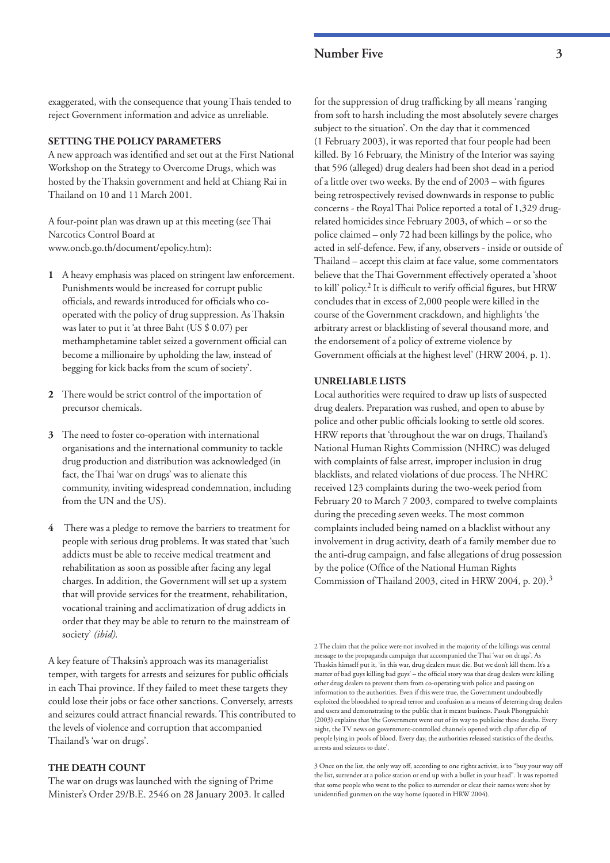## **Number Five 3**

exaggerated, with the consequence that young Thais tended to reject Government information and advice as unreliable.

## **SETTING THE POLICY PARAMETERS**

A new approach was identified and set out at the First National Workshop on the Strategy to Overcome Drugs, which was hosted by the Thaksin government and held at Chiang Rai in Thailand on 10 and 11 March 2001.

A four-point plan was drawn up at this meeting (see Thai Narcotics Control Board at www.oncb.go.th/document/epolicy.htm):

- **1** A heavy emphasis was placed on stringent law enforcement. Punishments would be increased for corrupt public officials, and rewards introduced for officials who cooperated with the policy of drug suppression. As Thaksin was later to put it 'at three Baht (US \$ 0.07) per methamphetamine tablet seized a government official can become a millionaire by upholding the law, instead of begging for kick backs from the scum of society'.
- **2** There would be strict control of the importation of precursor chemicals.
- **3** The need to foster co-operation with international organisations and the international community to tackle drug production and distribution was acknowledged (in fact, the Thai 'war on drugs' was to alienate this community, inviting widespread condemnation, including from the UN and the US).
- **4** There was a pledge to remove the barriers to treatment for people with serious drug problems. It was stated that 'such addicts must be able to receive medical treatment and rehabilitation as soon as possible after facing any legal charges. In addition, the Government will set up a system that will provide services for the treatment, rehabilitation, vocational training and acclimatization of drug addicts in order that they may be able to return to the mainstream of society' *(ibid)*.

A key feature of Thaksin's approach was its managerialist temper, with targets for arrests and seizures for public officials in each Thai province. If they failed to meet these targets they could lose their jobs or face other sanctions. Conversely, arrests and seizures could attract financial rewards. This contributed to the levels of violence and corruption that accompanied Thailand's 'war on drugs'.

## **THE DEATH COUNT**

The war on drugs was launched with the signing of Prime Minister's Order 29/B.E. 2546 on 28 January 2003. It called for the suppression of drug trafficking by all means 'ranging from soft to harsh including the most absolutely severe charges subject to the situation'. On the day that it commenced (1 February 2003), it was reported that four people had been killed. By 16 February, the Ministry of the Interior was saying that 596 (alleged) drug dealers had been shot dead in a period of a little over two weeks. By the end of 2003 – with figures being retrospectively revised downwards in response to public concerns - the Royal Thai Police reported a total of 1,329 drugrelated homicides since February 2003, of which – or so the police claimed – only 72 had been killings by the police, who acted in self-defence. Few, if any, observers - inside or outside of Thailand – accept this claim at face value, some commentators believe that the Thai Government effectively operated a 'shoot to kill' policy.2 It is difficult to verify official figures, but HRW concludes that in excess of 2,000 people were killed in the course of the Government crackdown, and highlights 'the arbitrary arrest or blacklisting of several thousand more, and the endorsement of a policy of extreme violence by Government officials at the highest level' (HRW 2004, p. 1).

#### **UNRELIABLE LISTS**

Local authorities were required to draw up lists of suspected drug dealers. Preparation was rushed, and open to abuse by police and other public officials looking to settle old scores. HRW reports that 'throughout the war on drugs, Thailand's National Human Rights Commission (NHRC) was deluged with complaints of false arrest, improper inclusion in drug blacklists, and related violations of due process. The NHRC received 123 complaints during the two-week period from February 20 to March 7 2003, compared to twelve complaints during the preceding seven weeks. The most common complaints included being named on a blacklist without any involvement in drug activity, death of a family member due to the anti-drug campaign, and false allegations of drug possession by the police (Office of the National Human Rights Commission of Thailand 2003, cited in HRW 2004, p. 20).3

2 The claim that the police were not involved in the majority of the killings was central message to the propaganda campaign that accompanied the Thai 'war on drugs'. As Thaskin himself put it, 'in this war, drug dealers must die. But we don't kill them. It's a matter of bad guys killing bad guys' – the official story was that drug dealers were killing other drug dealers to prevent them from co-operating with police and passing on information to the authorities. Even if this were true, the Government undoubtedly exploited the bloodshed to spread terror and confusion as a means of deterring drug dealers and users and demonstrating to the public that it meant business. Pasuk Phongpaichit (2003) explains that 'the Government went out of its way to publicise these deaths. Every night, the TV news on government-controlled channels opened with clip after clip of people lying in pools of blood. Every day, the authorities released statistics of the deaths, arrests and seizures to date'.

3 Once on the list, the only way off, according to one rights activist, is to "buy your way off the list, surrender at a police station or end up with a bullet in your head". It was reported that some people who went to the police to surrender or clear their names were shot by unidentified gunmen on the way home (quoted in HRW 2004).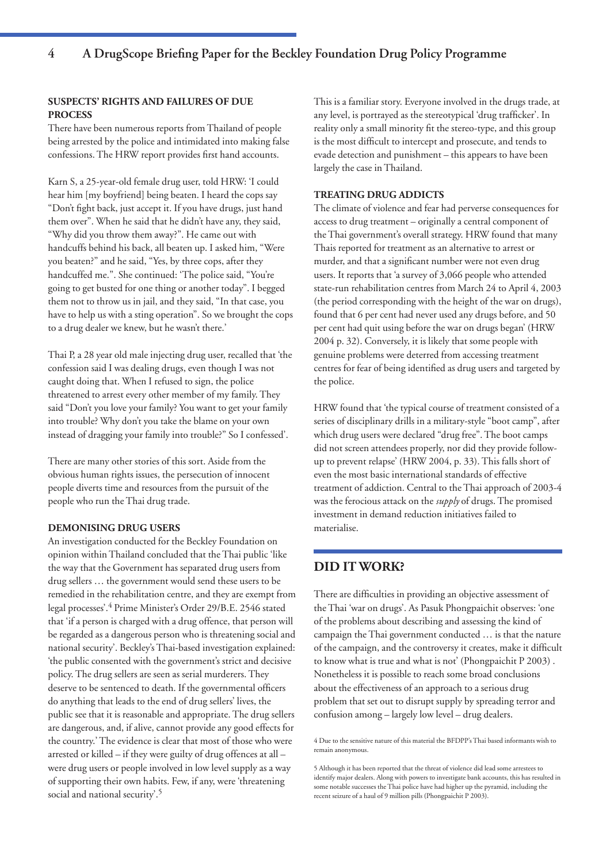#### **SUSPECTS' RIGHTS AND FAILURES OF DUE PROCESS**

There have been numerous reports from Thailand of people being arrested by the police and intimidated into making false confessions. The HRW report provides first hand accounts.

Karn S, a 25-year-old female drug user, told HRW: 'I could hear him [my boyfriend] being beaten. I heard the cops say "Don't fight back, just accept it. If you have drugs, just hand them over". When he said that he didn't have any, they said, "Why did you throw them away?". He came out with handcuffs behind his back, all beaten up. I asked him, "Were you beaten?" and he said, "Yes, by three cops, after they handcuffed me.". She continued: 'The police said, "You're going to get busted for one thing or another today". I begged them not to throw us in jail, and they said, "In that case, you have to help us with a sting operation". So we brought the cops to a drug dealer we knew, but he wasn't there.'

Thai P, a 28 year old male injecting drug user, recalled that 'the confession said I was dealing drugs, even though I was not caught doing that. When I refused to sign, the police threatened to arrest every other member of my family. They said "Don't you love your family? You want to get your family into trouble? Why don't you take the blame on your own instead of dragging your family into trouble?" So I confessed'.

There are many other stories of this sort. Aside from the obvious human rights issues, the persecution of innocent people diverts time and resources from the pursuit of the people who run the Thai drug trade.

#### **DEMONISING DRUG USERS**

An investigation conducted for the Beckley Foundation on opinion within Thailand concluded that the Thai public 'like the way that the Government has separated drug users from drug sellers … the government would send these users to be remedied in the rehabilitation centre, and they are exempt from legal processes'.4 Prime Minister's Order 29/B.E. 2546 stated that 'if a person is charged with a drug offence, that person will be regarded as a dangerous person who is threatening social and national security'. Beckley's Thai-based investigation explained: 'the public consented with the government's strict and decisive policy. The drug sellers are seen as serial murderers. They deserve to be sentenced to death. If the governmental officers do anything that leads to the end of drug sellers' lives, the public see that it is reasonable and appropriate. The drug sellers are dangerous, and, if alive, cannot provide any good effects for the country.' The evidence is clear that most of those who were arrested or killed – if they were guilty of drug offences at all – were drug users or people involved in low level supply as a way of supporting their own habits. Few, if any, were 'threatening social and national security'.5

This is a familiar story. Everyone involved in the drugs trade, at any level, is portrayed as the stereotypical 'drug trafficker'. In reality only a small minority fit the stereo-type, and this group is the most difficult to intercept and prosecute, and tends to evade detection and punishment – this appears to have been largely the case in Thailand.

#### **TREATING DRUG ADDICTS**

The climate of violence and fear had perverse consequences for access to drug treatment – originally a central component of the Thai government's overall strategy. HRW found that many Thais reported for treatment as an alternative to arrest or murder, and that a significant number were not even drug users. It reports that 'a survey of 3,066 people who attended state-run rehabilitation centres from March 24 to April 4, 2003 (the period corresponding with the height of the war on drugs), found that 6 per cent had never used any drugs before, and 50 per cent had quit using before the war on drugs began' (HRW 2004 p. 32). Conversely, it is likely that some people with genuine problems were deterred from accessing treatment centres for fear of being identified as drug users and targeted by the police.

HRW found that 'the typical course of treatment consisted of a series of disciplinary drills in a military-style "boot camp", after which drug users were declared "drug free". The boot camps did not screen attendees properly, nor did they provide followup to prevent relapse' (HRW 2004, p. 33). This falls short of even the most basic international standards of effective treatment of addiction. Central to the Thai approach of 2003-4 was the ferocious attack on the *supply* of drugs. The promised investment in demand reduction initiatives failed to materialise.

# **DID IT WORK?**

There are difficulties in providing an objective assessment of the Thai 'war on drugs'. As Pasuk Phongpaichit observes: 'one of the problems about describing and assessing the kind of campaign the Thai government conducted … is that the nature of the campaign, and the controversy it creates, make it difficult to know what is true and what is not' (Phongpaichit P 2003) . Nonetheless it is possible to reach some broad conclusions about the effectiveness of an approach to a serious drug problem that set out to disrupt supply by spreading terror and confusion among – largely low level – drug dealers.

<sup>4</sup> Due to the sensitive nature of this material the BFDPP's Thai based informants wish to remain anonymous.

<sup>5</sup> Although it has been reported that the threat of violence did lead some arrestees to identify major dealers. Along with powers to investigate bank accounts, this has resulted in some notable successes the Thai police have had higher up the pyramid, including the recent seizure of a haul of 9 million pills (Phongpaichit P 2003).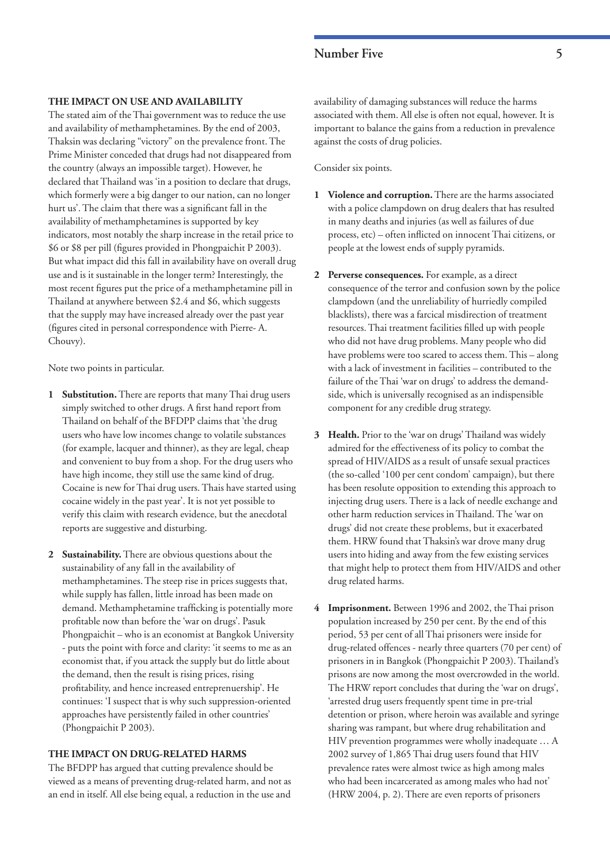# **Number Five 5**

#### **THE IMPACT ON USE AND AVAILABILITY**

The stated aim of the Thai government was to reduce the use and availability of methamphetamines. By the end of 2003, Thaksin was declaring "victory" on the prevalence front. The Prime Minister conceded that drugs had not disappeared from the country (always an impossible target). However, he declared that Thailand was 'in a position to declare that drugs, which formerly were a big danger to our nation, can no longer hurt us'. The claim that there was a significant fall in the availability of methamphetamines is supported by key indicators, most notably the sharp increase in the retail price to \$6 or \$8 per pill (figures provided in Phongpaichit P 2003). But what impact did this fall in availability have on overall drug use and is it sustainable in the longer term? Interestingly, the most recent figures put the price of a methamphetamine pill in Thailand at anywhere between \$2.4 and \$6, which suggests that the supply may have increased already over the past year (figures cited in personal correspondence with Pierre- A. Chouvy).

Note two points in particular.

- **1 Substitution.** There are reports that many Thai drug users simply switched to other drugs. A first hand report from Thailand on behalf of the BFDPP claims that 'the drug users who have low incomes change to volatile substances (for example, lacquer and thinner), as they are legal, cheap and convenient to buy from a shop. For the drug users who have high income, they still use the same kind of drug. Cocaine is new for Thai drug users. Thais have started using cocaine widely in the past year'. It is not yet possible to verify this claim with research evidence, but the anecdotal reports are suggestive and disturbing.
- **2 Sustainability.** There are obvious questions about the sustainability of any fall in the availability of methamphetamines. The steep rise in prices suggests that, while supply has fallen, little inroad has been made on demand. Methamphetamine trafficking is potentially more profitable now than before the 'war on drugs'. Pasuk Phongpaichit – who is an economist at Bangkok University - puts the point with force and clarity: 'it seems to me as an economist that, if you attack the supply but do little about the demand, then the result is rising prices, rising profitability, and hence increased entreprenuership'. He continues: 'I suspect that is why such suppression-oriented approaches have persistently failed in other countries' (Phongpaichit P 2003).

#### **THE IMPACT ON DRUG-RELATED HARMS**

The BFDPP has argued that cutting prevalence should be viewed as a means of preventing drug-related harm, and not as an end in itself. All else being equal, a reduction in the use and

availability of damaging substances will reduce the harms associated with them. All else is often not equal, however. It is important to balance the gains from a reduction in prevalence against the costs of drug policies.

Consider six points.

- **1 Violence and corruption.** There are the harms associated with a police clampdown on drug dealers that has resulted in many deaths and injuries (as well as failures of due process, etc) – often inflicted on innocent Thai citizens, or people at the lowest ends of supply pyramids.
- **2 Perverse consequences.** For example, as a direct consequence of the terror and confusion sown by the police clampdown (and the unreliability of hurriedly compiled blacklists), there was a farcical misdirection of treatment resources. Thai treatment facilities filled up with people who did not have drug problems. Many people who did have problems were too scared to access them. This – along with a lack of investment in facilities – contributed to the failure of the Thai 'war on drugs' to address the demandside, which is universally recognised as an indispensible component for any credible drug strategy.
- **3 Health.** Prior to the 'war on drugs' Thailand was widely admired for the effectiveness of its policy to combat the spread of HIV/AIDS as a result of unsafe sexual practices (the so-called '100 per cent condom' campaign), but there has been resolute opposition to extending this approach to injecting drug users. There is a lack of needle exchange and other harm reduction services in Thailand. The 'war on drugs' did not create these problems, but it exacerbated them. HRW found that Thaksin's war drove many drug users into hiding and away from the few existing services that might help to protect them from HIV/AIDS and other drug related harms.
- **4 Imprisonment.** Between 1996 and 2002, the Thai prison population increased by 250 per cent. By the end of this period, 53 per cent of all Thai prisoners were inside for drug-related offences - nearly three quarters (70 per cent) of prisoners in in Bangkok (Phongpaichit P 2003). Thailand's prisons are now among the most overcrowded in the world. The HRW report concludes that during the 'war on drugs', 'arrested drug users frequently spent time in pre-trial detention or prison, where heroin was available and syringe sharing was rampant, but where drug rehabilitation and HIV prevention programmes were wholly inadequate … A 2002 survey of 1,865 Thai drug users found that HIV prevalence rates were almost twice as high among males who had been incarcerated as among males who had not' (HRW 2004, p. 2). There are even reports of prisoners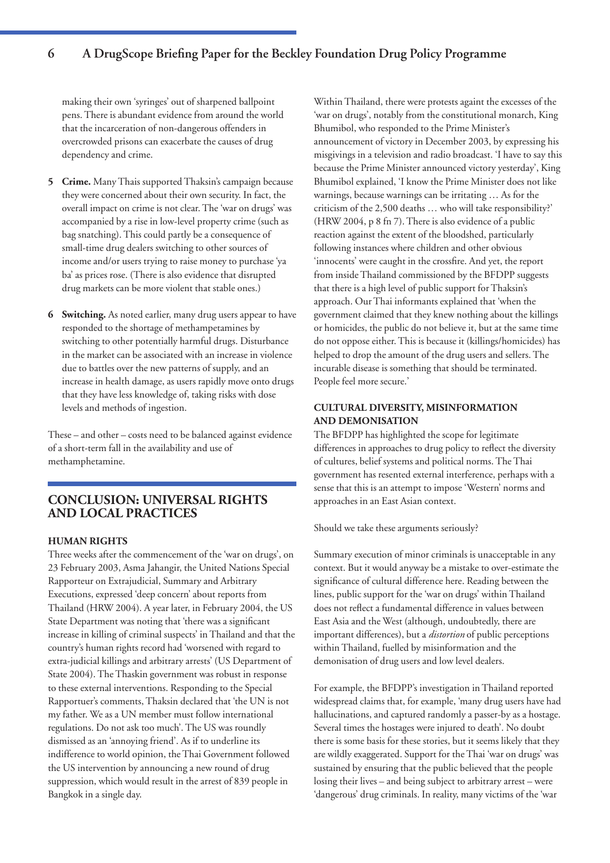# **6 A DrugScope Briefing Paper for the Beckley Foundation Drug Policy Programme**

making their own 'syringes' out of sharpened ballpoint pens. There is abundant evidence from around the world that the incarceration of non-dangerous offenders in overcrowded prisons can exacerbate the causes of drug dependency and crime.

- **5 Crime.** Many Thais supported Thaksin's campaign because they were concerned about their own security. In fact, the overall impact on crime is not clear. The 'war on drugs' was accompanied by a rise in low-level property crime (such as bag snatching). This could partly be a consequence of small-time drug dealers switching to other sources of income and/or users trying to raise money to purchase 'ya ba' as prices rose. (There is also evidence that disrupted drug markets can be more violent that stable ones.)
- **6 Switching.** As noted earlier, many drug users appear to have responded to the shortage of methampetamines by switching to other potentially harmful drugs. Disturbance in the market can be associated with an increase in violence due to battles over the new patterns of supply, and an increase in health damage, as users rapidly move onto drugs that they have less knowledge of, taking risks with dose levels and methods of ingestion.

These – and other – costs need to be balanced against evidence of a short-term fall in the availability and use of methamphetamine.

## **CONCLUSION: UNIVERSAL RIGHTS AND LOCAL PRACTICES**

## **HUMAN RIGHTS**

Three weeks after the commencement of the 'war on drugs', on 23 February 2003, Asma Jahangir, the United Nations Special Rapporteur on Extrajudicial, Summary and Arbitrary Executions, expressed 'deep concern' about reports from Thailand (HRW 2004). A year later, in February 2004, the US State Department was noting that 'there was a significant increase in killing of criminal suspects' in Thailand and that the country's human rights record had 'worsened with regard to extra-judicial killings and arbitrary arrests' (US Department of State 2004). The Thaskin government was robust in response to these external interventions. Responding to the Special Rapportuer's comments, Thaksin declared that 'the UN is not my father. We as a UN member must follow international regulations. Do not ask too much'. The US was roundly dismissed as an 'annoying friend'. As if to underline its indifference to world opinion, the Thai Government followed the US intervention by announcing a new round of drug suppression, which would result in the arrest of 839 people in Bangkok in a single day.

Within Thailand, there were protests againt the excesses of the 'war on drugs', notably from the constitutional monarch, King Bhumibol, who responded to the Prime Minister's announcement of victory in December 2003, by expressing his misgivings in a television and radio broadcast. 'I have to say this because the Prime Minister announced victory yesterday', King Bhumibol explained, 'I know the Prime Minister does not like warnings, because warnings can be irritating … As for the criticism of the 2,500 deaths … who will take responsibility?' (HRW 2004, p 8 fn 7). There is also evidence of a public reaction against the extent of the bloodshed, particularly following instances where children and other obvious 'innocents' were caught in the crossfire. And yet, the report from inside Thailand commissioned by the BFDPP suggests that there is a high level of public support for Thaksin's approach. Our Thai informants explained that 'when the government claimed that they knew nothing about the killings or homicides, the public do not believe it, but at the same time do not oppose either. This is because it (killings/homicides) has helped to drop the amount of the drug users and sellers. The incurable disease is something that should be terminated. People feel more secure.'

## **CULTURAL DIVERSITY, MISINFORMATION AND DEMONISATION**

The BFDPP has highlighted the scope for legitimate differences in approaches to drug policy to reflect the diversity of cultures, belief systems and political norms. The Thai government has resented external interference, perhaps with a sense that this is an attempt to impose 'Western' norms and approaches in an East Asian context.

Should we take these arguments seriously?

Summary execution of minor criminals is unacceptable in any context. But it would anyway be a mistake to over-estimate the significance of cultural difference here. Reading between the lines, public support for the 'war on drugs' within Thailand does not reflect a fundamental difference in values between East Asia and the West (although, undoubtedly, there are important differences), but a *distortion* of public perceptions within Thailand, fuelled by misinformation and the demonisation of drug users and low level dealers.

For example, the BFDPP's investigation in Thailand reported widespread claims that, for example, 'many drug users have had hallucinations, and captured randomly a passer-by as a hostage. Several times the hostages were injured to death'. No doubt there is some basis for these stories, but it seems likely that they are wildly exaggerated. Support for the Thai 'war on drugs' was sustained by ensuring that the public believed that the people losing their lives – and being subject to arbitrary arrest – were 'dangerous' drug criminals. In reality, many victims of the 'war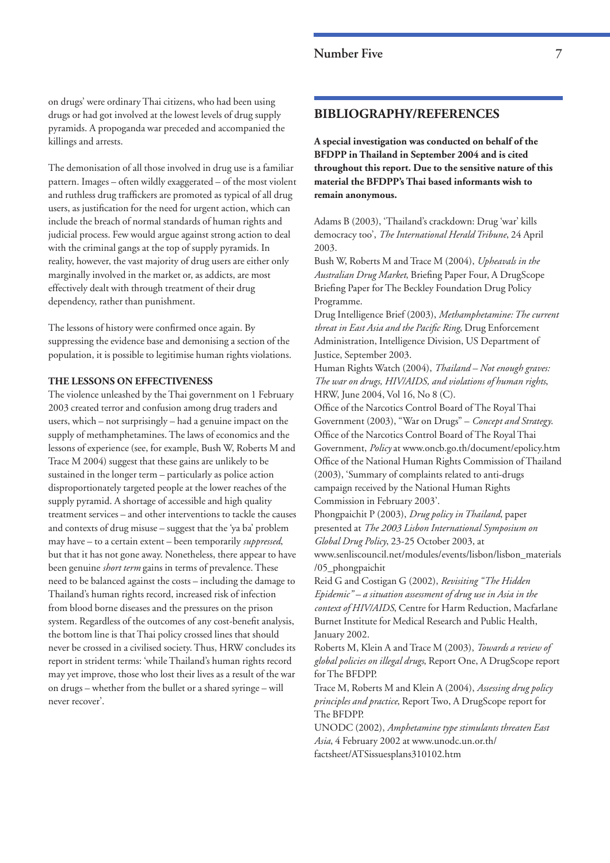## **Number Five 7**

on drugs' were ordinary Thai citizens, who had been using drugs or had got involved at the lowest levels of drug supply pyramids. A propoganda war preceded and accompanied the killings and arrests.

The demonisation of all those involved in drug use is a familiar pattern. Images – often wildly exaggerated – of the most violent and ruthless drug traffickers are promoted as typical of all drug users, as justification for the need for urgent action, which can include the breach of normal standards of human rights and judicial process. Few would argue against strong action to deal with the criminal gangs at the top of supply pyramids. In reality, however, the vast majority of drug users are either only marginally involved in the market or, as addicts, are most effectively dealt with through treatment of their drug dependency, rather than punishment.

The lessons of history were confirmed once again. By suppressing the evidence base and demonising a section of the population, it is possible to legitimise human rights violations.

## **THE LESSONS ON EFFECTIVENESS**

The violence unleashed by the Thai government on 1 February 2003 created terror and confusion among drug traders and users, which – not surprisingly – had a genuine impact on the supply of methamphetamines. The laws of economics and the lessons of experience (see, for example, Bush W, Roberts M and Trace M 2004) suggest that these gains are unlikely to be sustained in the longer term – particularly as police action disproportionately targeted people at the lower reaches of the supply pyramid. A shortage of accessible and high quality treatment services – and other interventions to tackle the causes and contexts of drug misuse – suggest that the 'ya ba' problem may have – to a certain extent – been temporarily *suppressed*, but that it has not gone away. Nonetheless, there appear to have been genuine *short term* gains in terms of prevalence. These need to be balanced against the costs – including the damage to Thailand's human rights record, increased risk of infection from blood borne diseases and the pressures on the prison system. Regardless of the outcomes of any cost-benefit analysis, the bottom line is that Thai policy crossed lines that should never be crossed in a civilised society. Thus, HRW concludes its report in strident terms: 'while Thailand's human rights record may yet improve, those who lost their lives as a result of the war on drugs – whether from the bullet or a shared syringe – will never recover'.

## **BIBLIOGRAPHY/REFERENCES**

**A special investigation was conducted on behalf of the BFDPP in Thailand in September 2004 and is cited throughout this report. Due to the sensitive nature of this material the BFDPP's Thai based informants wish to remain anonymous.**

Adams B (2003), 'Thailand's crackdown: Drug 'war' kills democracy too', *The International Herald Tribune*, 24 April 2003.

Bush W, Roberts M and Trace M (2004), *Upheavals in the Australian Drug Market*, Briefing Paper Four, A DrugScope Briefing Paper for The Beckley Foundation Drug Policy Programme.

Drug Intelligence Brief (2003), *Methamphetamine: The current threat in East Asia and the Pacific Ring*, Drug Enforcement Administration, Intelligence Division, US Department of Justice, September 2003.

Human Rights Watch (2004), *Thailand – Not enough graves: The war on drugs, HIV/AIDS, and violations of human rights*, HRW, June 2004, Vol 16, No 8 (C).

Office of the Narcotics Control Board of The Royal Thai Government (2003), "War on Drugs" – *Concept and Strategy*. Office of the Narcotics Control Board of The Royal Thai Government, *Policy* at www.oncb.go.th/document/epolicy.htm Office of the National Human Rights Commission of Thailand (2003), 'Summary of complaints related to anti-drugs campaign received by the National Human Rights Commission in February 2003'.

Phongpaichit P (2003), *Drug policy in Thailand*, paper presented at *The 2003 Lisbon International Symposium on Global Drug Policy*, 23-25 October 2003, at

www.senliscouncil.net/modules/events/lisbon/lisbon\_materials /05\_phongpaichit

Reid G and Costigan G (2002), *Revisiting "The Hidden Epidemic" – a situation assessment of drug use in Asia in the context of HIV/AIDS*, Centre for Harm Reduction, Macfarlane Burnet Institute for Medical Research and Public Health, January 2002.

Roberts M, Klein A and Trace M (2003), *Towards a review of global policies on illegal drugs*, Report One, A DrugScope report for The BFDPP.

Trace M, Roberts M and Klein A (2004), *Assessing drug policy principles and practice*, Report Two, A DrugScope report for The BFDPP.

UNODC (2002), *Amphetamine type stimulants threaten East Asia*, 4 February 2002 at www.unodc.un.or.th/ factsheet/ATSissuesplans310102.htm